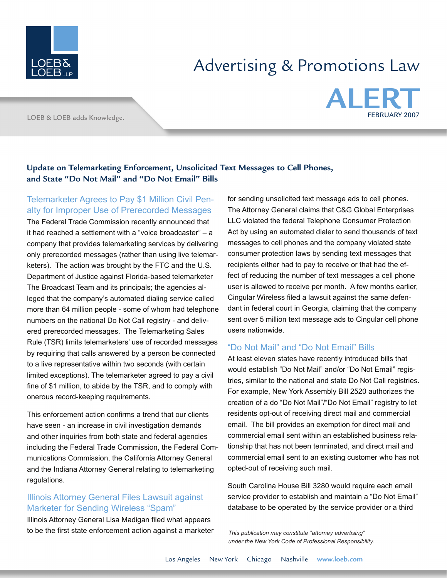

# Advertising & Promotions Law

LOEB & LOEB adds Knowledge.



#### **Update on Telemarketing Enforcement, Unsolicited Text Messages to Cell Phones, and State "Do Not Mail" and "Do Not Email" Bills**

### Telemarketer Agrees to Pay \$1 Million Civil Penalty for Improper Use of Prerecorded Messages

The Federal Trade Commission recently announced that it had reached a settlement with a "voice broadcaster" – a company that provides telemarketing services by delivering only prerecorded messages (rather than using live telemarketers). The action was brought by the FTC and the U.S. Department of Justice against Florida-based telemarketer The Broadcast Team and its principals; the agencies alleged that the company's automated dialing service called more than 64 million people - some of whom had telephone numbers on the national Do Not Call registry - and delivered prerecorded messages. The Telemarketing Sales Rule (TSR) limits telemarketers' use of recorded messages by requiring that calls answered by a person be connected to a live representative within two seconds (with certain limited exceptions). The telemarketer agreed to pay a civil fine of \$1 million, to abide by the TSR, and to comply with onerous record-keeping requirements.

This enforcement action confirms a trend that our clients have seen - an increase in civil investigation demands and other inquiries from both state and federal agencies including the Federal Trade Commission, the Federal Communications Commission, the California Attorney General and the Indiana Attorney General relating to telemarketing regulations.

### Illinois Attorney General Files Lawsuit against Marketer for Sending Wireless "Spam"

Illinois Attorney General Lisa Madigan filed what appears to be the first state enforcement action against a marketer

for sending unsolicited text message ads to cell phones. The Attorney General claims that C&G Global Enterprises LLC violated the federal Telephone Consumer Protection Act by using an automated dialer to send thousands of text messages to cell phones and the company violated state consumer protection laws by sending text messages that recipients either had to pay to receive or that had the effect of reducing the number of text messages a cell phone user is allowed to receive per month. A few months earlier, Cingular Wireless filed a lawsuit against the same defendant in federal court in Georgia, claiming that the company sent over 5 million text message ads to Cingular cell phone users nationwide.

## "Do Not Mail" and "Do Not Email" Bills

At least eleven states have recently introduced bills that would establish "Do Not Mail" and/or "Do Not Email" registries, similar to the national and state Do Not Call registries. For example, New York Assembly Bill 2520 authorizes the creation of a do "Do Not Mail"/"Do Not Email" registry to let residents opt-out of receiving direct mail and commercial email. The bill provides an exemption for direct mail and commercial email sent within an established business relationship that has not been terminated, and direct mail and commercial email sent to an existing customer who has not opted-out of receiving such mail.

South Carolina House Bill 3280 would require each email service provider to establish and maintain a "Do Not Email" database to be operated by the service provider or a third

*This publication may constitute "attorney advertising" under the New York Code of Professional Responsibility.*